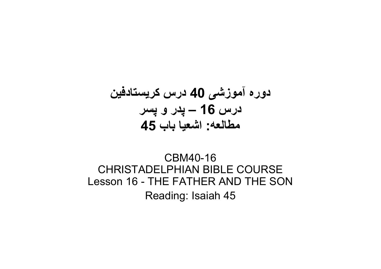# دوره آموزشی 40 درس کريستادفين درس 16 – پدر و پسر مطالعه: اشعيا باب 45

## CBM40-16 CHRISTADELPHIAN BIBLE COURSE Lesson 16 - THE FATHER AND THE SON Reading: Isaiah 45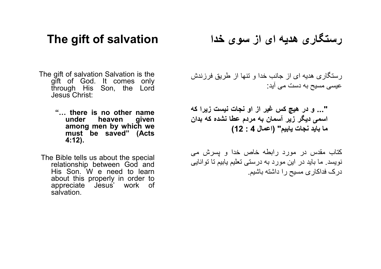## The gift of salvation

The gift of salvation Salvation is the gift of God. It comes only through His Son, the Lord Jesus Christ:

> "… there is no other name heaven among men by which we must be saved" (Acts 4:12).

The Bible tells us about the special relationship between God and His Son. W e need to learn about this properly in order to<br>appreciate Jesus' work of Jesus' work of salvation.

رستگاری هديه ای از سوی خدا

رستگاری هديه ای از جانب خدا و تنها از طريق فرزندش عيسی مسيح به دست می آيد:

"... و در هيچ کس غير از او نجات نيست زيرا که اسمی ديگر زير آسمان به مردم عطا نشده که بدان ما بايد نجات يابيم" (اعمال 4 : 12)

کتاب مقدس در مورد رابطه خاص خدا و پسرش می نويسد. ما بايد در اين مورد به درستی تعليم يابيم تا توانايی درک فداکاری مسيح را داشته باشيم.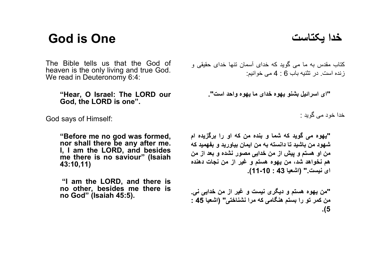# God is One

The Bible tells us that the God of heaven is the only living and true God. We read in Deuteronomy 6:4:

> "Hear, O Israel: The LORD our God, the LORD is one".

God says of Himself:

"Before me no god was formed, nor shall there be any after me. I, I am the LORD, and besides me there is no saviour" (Isaiah 43:10,11)

"I am the LORD, and there is no other, besides me there is no God" (Isaiah 45:5).

کتاب مقدس به ما می گويد که خدای آسمان تنها خدای حقيقی و زنده است. در تثنيه باب 6 : 4 می خوانيم:

"ای اسرائيل بشنو يهوه خدای ما يهوه واحد است".

خدا خود می گويد :

"يهوه می گويد که شما و بنده من که او را برگزيده ام شهود من باشيد تا دانسته به من ايمان بياوريد و بفهميد که من او هستم و پيش از من خدايی مصور نشده و بعد از من هم نخواهد شد، من يهوه هستم و غير از من نجات دهنده ای نيست." (اشعيا 43 : 11-10).

"من يهوه هستم و ديگری نيست و غير از من خدايی نی. من کمر تو را بستم هنگامی که مرا نشناختی" (اشعيا 45 : .(5

خدا يکتاست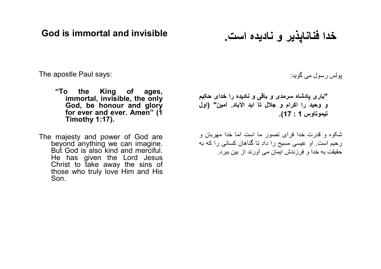God is immortal and invisible

خدا فناناپذير و ناديده است.

The apostle Paul says:

- "To the King of ages, immortal, invisible, the only God, be honour and glory for ever and ever. Amen" (1) Timothy 1:17).
- The majesty and power of God are beyond anything we can imagine. But God is also kind and merciful. He has given the Lord Jesus Christ to take away the sins of those who truly love Him and His Son.

پولس رسول می گويد:

"باری پادشاه سرمدی و باقی و ناديده را خدای حکيم و وحيد را اکرام و جلال تا ابد الآباد. آمين" (اول تيموتاوس 1 : 17).

شکوه و قدرت خدا فرای تصور ما است اما خدا مهربان و رحيم است. او عيسی مسيح را داد تا گناهان کسانی را که به حقيقت به خدا و فرزندش ايمان می آورند از بين ببرد.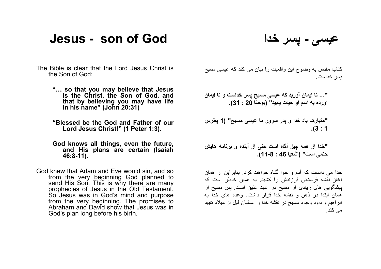## Jesus - son of God

عيسی - پسر خدا

- The Bible is clear that the Lord Jesus Christ is the Son of God:
	- "… so that you may believe that Jesus is the Christ, the Son of God, and that by believing you may have life in his name" (John 20:31)
	- "Blessed be the God and Father of our Lord Jesus Christ!" (1 Peter 1:3).
	- God knows all things, even the future, and His plans are certain (Isaiah 46:8-11).
- God knew that Adam and Eve would sin, and so from the very beginning God planned to send His Son. This is why there are many prophecies of Jesus in the Old Testament. So Jesus was in God's mind and purpose from the very beginning. The promises to Abraham and David show that Jesus was in God's plan long before his birth.

کتاب مقدس به وضوح اين واقعيت را بيان می کند که عيسی مسيح پسر خداست.

"... تا ايمان آوريد که عيسی مسيح پسر خداست و تا ايمان آورده به اسم او حيات يابيد" (يوحنا 20 : 31).

"متبارک باد خدا و پدر سرور ما عيسی مسيح" (1 پطرس .(3 : 1

"خدا از همه چيز آگاه است حتی از آينده و برنامه هايش حتمی است" (اشعيا 46 : 11-8).

خدا می دانست که آدم و حوا گناه خواهند کرد. بنابراين از همان آغاز نقشه فرستادن فرزندش را کشيد. به همين خاطر است که پيشگويی های زيادی از مسيح در عهد عتيق است. پس مسيح از همان ابتدا در ذهن و نقشه خدا قرار داشت. وعده های خدا به ابراهيم و داود وجود مسيح در نقشه خدا را ساليان قبل از ميلاد تاييد می کند.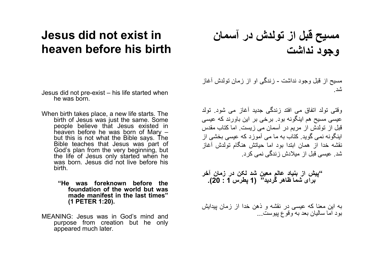## Jesus did not exist in heaven before his birth

- Jesus did not pre-exist his life started when he was born.
- When birth takes place, a new life starts. The birth of Jesus was just the same. Some people believe that Jesus existed in heaven before he was born of Mary – but this is not what the Bible says. The Bible teaches that Jesus was part of God's plan from the very beginning, but the life of Jesus only started when he was born. Jesus did not live before his birth.
	- "He was foreknown before the foundation of the world but was made manifest in the last times" (1 PETER 1:20).
- MEANING: Jesus was in God's mind and purpose from creation but he only appeared much later.

مسيح قبل از تولدش در آسمان وجود نداشت

مسيح از قبل وجود نداشت - زندگی او از زمان تولدش آغاز شد.

وقتی تولد اتفاق می افتد زندگی جديد آغاز می شود. تولد عيسی مسيح هم اينگونه بود. برخی بر اين باورند که عيسی قبل از تولدش از مريم در آسمان می زيست. اما کتاب مقدس اينگونه نمی گويد. کتاب به ما می آموزد که عيسی بخشی از نقشه خدا از همان ابتدا بود اما حياتش هنگام تولدش آغاز شد. عيسی قبل از ميلادش زندگی نمی کرد.

"پيش از بنياد عالم معين شد لکن در زمان آخر برای شما ظاهر گرديد" (1 پطرس 1 : 20).

به اين معنا که عيسی در نقشه و ذهن خدا از زمان پيدايش بود اما ساليان بعد به وقوع پيوست...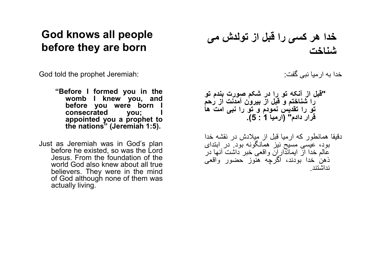## God knows all people before they are born

God told the prophet Jeremiah:

- "Before I formed you in the womb I knew you, and before you were born I consecrated you; I appointed you a prophet to the nations" (Jeremiah 1:5).
- Just as Jeremiah was in God's plan before he existed, so was the Lord Jesus. From the foundation of the world God also knew about all true believers. They were in the mind of God although none of them was actually living.

خدا هر کسی را قبل از تولدش می شناخت

خدا به ارميا نبی گفت:

#### "قبل از آنکه تو را در شکم صورت بندم تو را شناختم و قبل از بيرون آمدنت از رحم تو را تقديس نمودم و تو را نبی امت ها قرار دادم" (ارميا 1 : 5).

دقيقا همانطور که ارميا قبل از ميلادش در نقشه خدا بود، عيسی مسيح نيز همانگونه بود. در ابتدای عالم خدا از ايمانداران واقعی خبر داشت آنها در ذهن خدا بودند، اگرچه هنوز حضور واقعی نداشتند.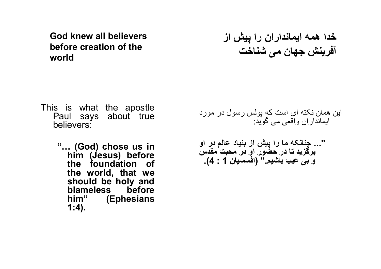God knew all believers before creation of the world

- This is what the apostle Paul says about true believers:
	- "… (God) chose us in him (Jesus) before the foundation of the world, that we should be holy and blameless before him" (Ephesians 1:4).

خدا همه ايمانداران را پيش از آفرينش جهان می شناخت

- اين همان نکته ای است که پولس رسول در مورد ايمانداران واقعی می گويد:
- "... چنانکه ما را پيش از بنياد عالم در او برگزيد تا در حضور او در محبت مقدس و بی عيب باشيم." (افسسيان 1 : 4).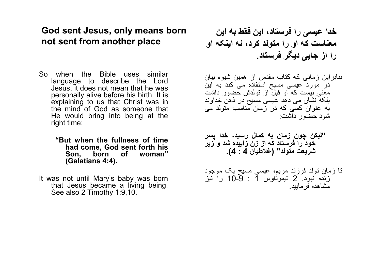## God sent Jesus, only means born not sent from another place

So when the Bible uses similar language to describe the Lord Jesus, it does not mean that he was personally alive before his birth. It is explaining to us that Christ was in the mind of God as someone that He would bring into being at the right time:

#### "But when the fullness of time had come, God sent forth his Son, born of (Galatians 4:4).

It was not until Mary's baby was born that Jesus became a living being. See also 2 Timothy 1:9,10.

خدا عيسی را فرستاد، اين فقط به اين معناست که او را متولد کرد، نه اينکه او را از جايی ديگر فرستاد.

بنابراين زمانی که کتاب مقدس از همين شيوه بيان در مورد عيسی مسيح استفاده می کند به اين معنی نيست که او قبل از تولدش حضور داشت بلکه نشان می دهد عيسی مسيح در ذهن خداوند به عنوان کسی که در زمان مناسب متولد می شود حضور داشت:

"ليكن چون زمان به کمال رسيد، خدا پسر خود را فرستاد که از زن زاييده شد و زير شريعت متولد" (غلاطيان 4 : 4).

تا زمان تولد فرزند مريم، عيسی مسيح يک موجود زنده نبود. 2 تيموتاوس 1 : 10-9 را نيز مشاهده فرماييد.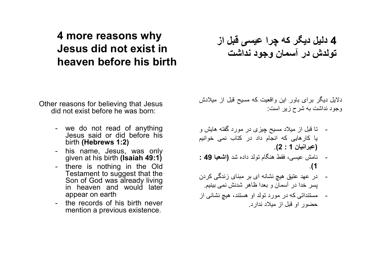## 4 more reasons why Jesus did not exist in heaven before his birth

Other reasons for believing that Jesus did not exist before he was born:

- we do not read of anything Jesus said or did before his birth (Hebrews 1:2)
- his name, Jesus, was only given at his birth (Isaiah 49:1)
- there is nothing in the Old Testament to suggest that the Son of God was already living in heaven and would later appear on earth
- the records of his birth never mention a previous existence.

4 دليل ديگر که چرا عيسی قبل از تولدش در آسمان وجود نداشت

دلايل ديگر برای باور اين واقعيت که مسيح قبل از ميلادش وجود نداشت به شرح زير است:

- تا قبل از ميلاد مسيح چيزی در مورد گفته هايش و يا کارهايی که انجام داد در کتاب نمی خوانيم (عبرانيان 1 : 2).
- نامش عيسی، فقط هنگام تولد داده شد (اشعيا 49 : .(1
- در عهد عتيق هيچ نشانه ای بر مبنای زندگی کردن پسر خدا در آسمان و بعدا ظاهر شدنش نمی بينيم.
- مستنداتی که در مورد تولد او هستند، هيچ نشانی از حضور او قبل از ميلاد ندارد.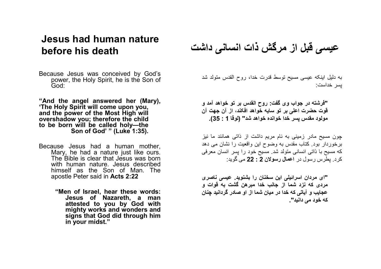## Jesus had human nature before his death

- Because Jesus was conceived by God's power, the Holy Spirit, he is the Son of God:
- "And the angel answered her (Mary), 'The Holy Spirit will come upon you, and the power of the Most High will overshadow you; therefore the child to be born will be called holy—the Son of God' " (Luke 1:35).
- Because Jesus had a human mother, Mary, he had a nature just like ours. The Bible is clear that Jesus was born with human nature. Jesus described himself as the Son of Man. The apostle Peter said in Acts 2:22
	- "Men of Israel, hear these words: Jesus of Nazareth, a man attested to you by God with mighty works and wonders and signs that God did through him in your midst."

عيسی قبل از مرگش ذات انسانی داشت

به دليل اينکه عيسی مسيح توسط قدرت خدا، روح القدس متولد شد پسر خداست:

"فرشته در جواب وی گفت: روح القدس بر تو خواهد آمد و قوت حضرت اعلی بر تو سايه خواهد افکند، از آن جهت آن مولود مقدس پسر خدا خوانده خواهد شد" (لوقا 1 : 35).

چون مسيح مادر زمينی به نام مريم داشت از ذاتی همانند ما نيز برخوردار بود. کتاب مقدس به وضوح اين واقعيت را نشان می دهد که مسيح با ذاتی انسانی متولد شد. مسيح خود را پسر انسان معرفی کرد. پطرس رسول در اعمال رسولان 2 : 22 می گويد:

"ای مردان اسرائيلی اين سخنان را بشنويد. عيسی ناصری مردی که نزد شما از جانب خدا مبرهن گشت به قوات و عجايب و آياتی که خدا در ميان شما از او صادر گردانيد چنان که خود می دانيد".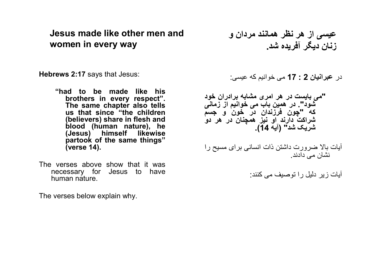Jesus made like other men and women in every way

Hebrews 2:17 says that Jesus:

- "had to be made like his brothers in every respect". The same chapter also tells us that since "the children (believers) share in flesh and blood (human nature), he (Jesus) himself likewise partook of the same things" (verse 14).
- The verses above show that it was necessary for Jesus to have human nature.

The verses below explain why.

عيسی از هر نظر همانند مردان و زنان ديگر آفريده شد.

در عبرانيان 2 : 17 می خوانيم که عيسی:

"می بايست در هر امری مشابه برادران خود شود". در همين باب می خوانيم از زمانی که "چون فرزندان در خون و جسم شراکت دارند او نيز همچنان در هر دو شريک شد" (آيه 14).

آيات بالا ضرورت داشتن ذات انسانی برای مسيح را نشان می دادند.

آيات زير دليل را توصيف می کنند: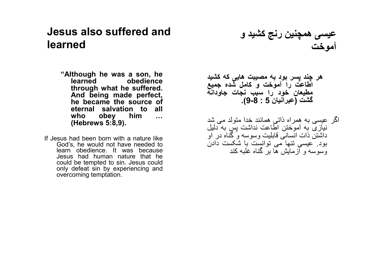## Jesus also suffered and learned

- "Although he was a son, he learned obedience through what he suffered. And being made perfect, he became the source of eternal salvation to all<br>who obey him ... obey him … (Hebrews 5:8,9).
- If Jesus had been born with a nature like God's, he would not have needed to learn obedience. It was because Jesus had human nature that he could be tempted to sin. Jesus could only defeat sin by experiencing and overcoming temptation.

عي*سی* همچنين رنج کشيد و<br>ت آموخت

- هر چند پسر بود به مصيبت هايی که کشيد اطاعت را آموخت و کامل شده جميع مطيعان خود را سبب نجات جاودانه گشت (عبرانيان 5 : 9-8).
- اگر عيسی به همراه ذاتی همانند خدا متولد می شد نيازی به آموختن اطاعت نداشت پس به دليل داشتن ذات انسانی قابليت وسوسه و گناه در او بود. عيسی تنها می توانست با شکست دادن وسوسه و آزمايش ها بر گناه غلبه کند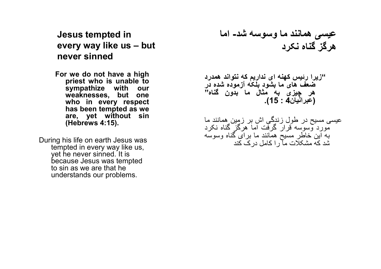Jesus tempted in every way like us – but never sinned

For we do not have a high priest who is unable to sympathize with our weaknesses, but one who in every respect has been tempted as we are, yet without sin (Hebrews 4:15).

During his life on earth Jesus was tempted in every way like us, yet he never sinned. It is because Jesus was tempted to sin as we are that he understands our problems.

عيسی همانند ما وسوسه شد- اما هرگز گناه نکرد

"زيرا رئيس کهنه ای نداريم که نتواند همدرد ضعف های ما بشود بلکه آزموده شده در هر چيزی به مثال ما بدون گناه" (عبرانيان4 : 15).

عيسی مسيح در طول زندگی اش بر زمين همانند ما مورد وسوسه قرار گرفت اما هرگز گناه نکرد به اين خاطر مسيح همانند ما برای گناه وسوسه شد که مشکلات ما را کامل درک کند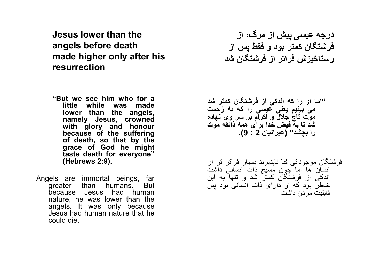Jesus lower than the angels before death made higher only after his resurrection

- "But we see him who for a little while was made lower than the angels, namely Jesus, crowned with glory and honour because of the suffering of death, so that by the grace of God he might taste death for everyone" (Hebrews 2:9).
- Angels are immortal beings, far greater than humans. But because Jesus had human nature, he was lower than the angels. It was only because Jesus had human nature that he could die.

درجه عيسی پيش از مرگ، از فرشتگان کمتر بود و فقط پس از رستاخيزش فراتر از فرشتگان شد

"اما او را که اندکی از فرشتگان کمتر شد می بينيم يعنی عيسی را که به زحمت موت تاج جلال و اکرام بر سر وی نهاده شد تا به فيض خدا برای همه ذائقه موت را بچشد" (عبرانيان 2 : 9).

فرشتگان موجوداتی فنا ناپذيرند بسيار فراتر تر از انسان ها اما چون مسيح ذات انسانی داشت اندکی از فرشتگان کمتر شد و تنها به اين خاطر بود که او دارای ذات انسانی بود پس قابليت مردن داشت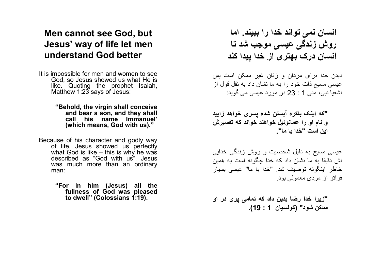## Men cannot see God, but Jesus' way of life let men understand God better

It is impossible for men and women to see God, so Jesus showed us what He is like. Quoting the prophet Isaiah, Matthew 1:23 says of Jesus:

> "Behold, the virgin shall conceive and bear a son, and they shall call his name Immanuel' (which means, God with us)."

Because of his character and godly way of life, Jesus showed us perfectly what God is like – this is why he was described as "God with us". Jesus was much more than an ordinary man:

> "For in him (Jesus) all the fullness of God was pleased to dwell" (Colossians 1:19).

انسان نمی تواند خدا را ببيند. اما روش زندگی عيسی موجب شد تا انسان درک بهتری از خدا پيدا کند

ديدن خدا برای مردان و زنان غير ممکن است پس عيسی مسيح ذات خود را به ما نشان داد به نقل قول از اشعيا نبی، متی 1 : 23 در مورد عيسی می گويد:

"که اينک باکره آبستن شده پسری خواهد زاييد و نام او را عمانوئيل خواهند خواند که تفسيرش اين است "خدا با ما".

عيسی مسيح به دليل شخصيت و روش زندگی خدايی اش دقيقا به ما نشان داد که خدا چگونه است به همين خاطر اينگونه توصيف شد. " خدا با ما" عيسی بسيار فراتر از مردی معمولی بود.

"زيرا خدا رضا بدين داد که تمامی پری در او ساکن شود" (کولسيان 1 : 19).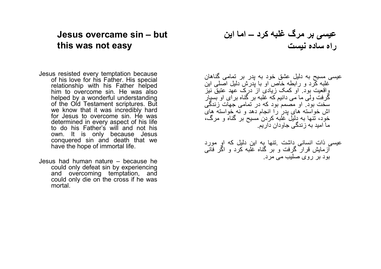### Jesus overcame sin – but this was not easy

Jesus resisted every temptation because of his love for his Father. His special relationship with his Father helped him to overcome sin. He was also helped by a wonderful understanding of the Old Testament scriptures. But we know that it was incredibly hard for Jesus to overcome sin. He was determined in every aspect of his life to do his Father's will and not his own. It is only because Jesus conquered sin and death that we have the hope of immortal life.

Jesus had human nature – because he could only defeat sin by experiencing and overcoming temptation, and could only die on the cross if he was mortal.

عيسی بر مرگ غلبه کرد – اما اين راه ساده نيست

عيسی مسيح به دليل عشق خود به پدر بر تمامی گناهان غلبه کرد و رابطه خاص او با پدرش دليل اصلی اين واقعيت بود. او کمک زيادی از درک عهد عتيق نيز گرفت ولی ما می دانيم که غلبه بر گناه برای او بسيار سخت بود. او مصمم بود که در تمامی جهات زندگی اش خواسته های پدر را انجام دهد و نه خواسته های خود، تنها به دليل غلبه کردن مسيح بر گناه و مرگ، ما اميد به زندگی جاودان داريم.

عيسی ذات انسانی داشت .تنها به اين دليل که او مورد آزمايش قرار گرفت و بر گناه غلبه کرد و اگر فانی بود بر روی صليب می مرد.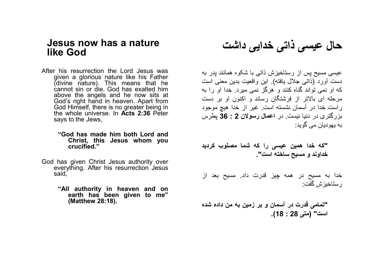#### Jesus now has a nature like God

- After his resurrection the Lord Jesus was given a glorious nature like his Father (divine nature). This means that he cannot sin or die. God has exalted him above the angels and he now sits at God's right hand in heaven. Apart from God Himself, there is no greater being in the whole universe. In Acts 2:36 Peter says to the Jews,
	- "God has made him both Lord and Christ, this Jesus whom you crucified."
- God has given Christ Jesus authority over everything. After his resurrection Jesus said,
	- "All authority in heaven and on earth has been given to me" (Matthew 28:18).

حال عيسی ذاتی خدايی داشت

عيسی مسيح پس از رستاخيزش ذاتی با شکوه همانند پدر به دست آورد (ذاتی جلال يافته). اين واقعيت بدين معنی است که او نمی تواند گناه کنند و هرگز نمی ميرد. خدا او را به مرحله ای بالاتر از فرشتگان رساند و اکنون او بر دست راست خدا در آسمان نشسته است. غير از خدا هيچ موجود بزرگتری در دنيا نيست. در اعمال رسولان 2 : 36 پطرس به يهوديان می گويد:

"که خدا همين عيسی را که شما مصلوب کرديد خداوند و مسيح ساخته است".

خدا به مسيح در همه چيز قدرت داد. مسيح بعد از رستاخيزش گفت:

"تمامی قدرت در آسمان و بر زمين به من داده شده است" (متی 28 : 18).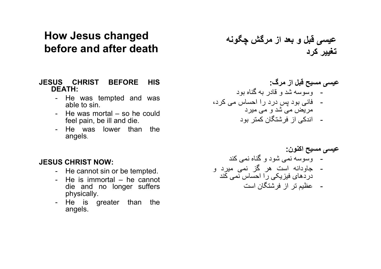## How Jesus changed before and after death

#### JESUS CHRIST BEFORE HIS DEATH:

- He was tempted and was able to sin.
- He was mortal so he could feel pain, be ill and die.
- He was lower than the angels.

## عيسی قبل و بعد از مرگش چگونه تغيير کرد

#### عيسی مسيح قبل از مرگ: - وسوسه شد و قادر به گناه بود - فانی بود پس درد را احساس می کرد، مريض می شد و می ميرد

- اندکی از فرشتگان کمتر بود

#### عيسی مسيح اکنون: - وسوسه نمی شود و گناه نمی کند - جاودانه است هر گز نمی ميرد و دردهای فيزيکی را احساس نمی کند - عظيم تر از فرشتگان است

#### JESUS CHRIST NOW:

- He cannot sin or be tempted.
- He is immortal he cannot die and no longer suffers physically.
- He is greater than the angels.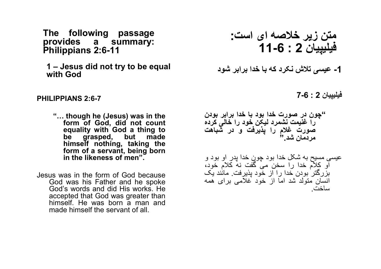The following passage provides a summary: Philippians 2:6-11

1 – Jesus did not try to be equal with God

#### PHILIPPIANS 2:6-7

- "… though he (Jesus) was in the form of God, did not count equality with God a thing to be grasped, but made himself nothing, taking the form of a servant, being born in the likeness of men".
- Jesus was in the form of God because God was his Father and he spoke God's words and did His works. He accepted that God was greater than himself. He was born a man and made himself the servant of all.

فيليپيان 2 : 7-6 "چون در صورت خدا بود با خدا برابر بودن را غنيمت نشمرد ليکن خود را خالی کرده صورت غلام را پذيرفت و در شباهت مردمان شد." عيسی مسيح به شکل خدا بود چون خدا پدر او بود و او کلام خدا را سخن می گفت نه کلام خود، بزرگتر بودن خدا را از خود پذيرفت. مانند يک انسان متولد شد اما از خود غلامی برای همه ساخت. متن زير خلاصه ای است: فيليپيان 2 : 11-6 -1 عيسی تلاش نکرد که با خدا برابر شود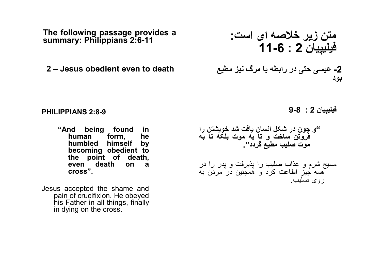The following passage provides a summary: Philippians 2:6-11

2 - Jesus obedient even to death

PHILIPPIANS 2:8-9

- "And being found in human form, humbled himself by becoming obedient to the point of death, even death on a cross".
- Jesus accepted the shame and pain of crucifixion. He obeyed his Father in all things, finally in dying on the cross.

متن زير خلاصه ای است: فيليپيان 2 : 11-6 بود

فيليپيان 2 : 9-8

"و چون در شکل انسان يافت شد خويشتن را فروتن ساخت و تا به موت بلکه تا به موت صليب مطيع گردد". مسيح شرم و عذاب صليب را پذيرفت و پدر را در همه چيز اطاعت کرد و همچنين در مردن به روی صليب.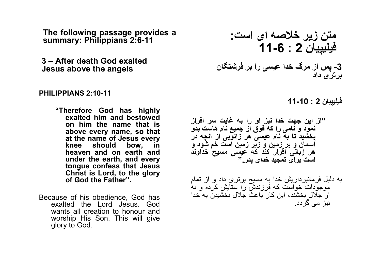The following passage provides a summary: Philippians 2:6-11

3 – After death God exalted Jesus above the angels the strain  $\zeta$ 

#### PHILIPPIANS 2:10-11

- "Therefore God has highly exalted him and bestowed on him the name that is above every name, so that at the name of Jesus every<br>knee should bow in bow, in heaven and on earth and under the earth, and every tongue confess that Jesus Christ is Lord, to the glory of God the Father".
- Because of his obedience, God has exalted the Lord Jesus. God wants all creation to honour and worship His Son. This will give glory to God.

متن زير خلاصه ای است:فيليپيان 2 : 11-6 برتری داد

فيليپيان 2 : 11-10

"از اين جهت خدا نيز او را به غايت سر افراز نمود و نامی را که فوق از جميع نام هاست بدو بخشيد تا به نام عيسی هر زانويی از آنچه در آسمان و بر زمين و زير زمين است خم شود و هر زبانی اقرار کند که عيسی مسيح خداوند است برای تمجيد خدای پدر."

به دليل فرمانبرداريش خدا به مسيح برتری داد و از تمام موجودات خواست که فرزندش را ستايش کرده و به او جلال بخشند، اين کار باعث جلال بخشيدن به خدا نيز می گردد.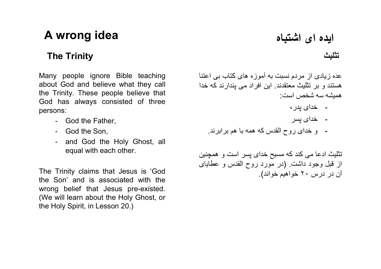# ايده ای اشتباه idea وA wrong idea

Many people ignore Bible teaching about God and believe what they call the Trinity. These people believe that God has always consisted of three persons:

- God the Father,
- God the Son,
- and God the Holy Ghost, all equal with each other.

The Trinity claims that Jesus is 'God the Son' and is associated with the wrong belief that Jesus pre-existed. (We will learn about the Holy Ghost, or the Holy Spirit, in Lesson 20.)

The Trinity تثليث

عده زيادی از مردم نسبت به آموزه های کتاب بی اعتنا هستند و بر تثليث معتقدند. اين افراد می پندارند که خدا هميشه سه شخص است:

- خدای پدر،
- خدای پسر
- و خدای روح القدس که همه با هم برابرند.

تثليث ادعا می کند که مسيح خدای پسر است و همچنين از قبل وجود داشت. (در مورد روح القدس و عطايای آن در درس ٢٠ خواهيم خواند).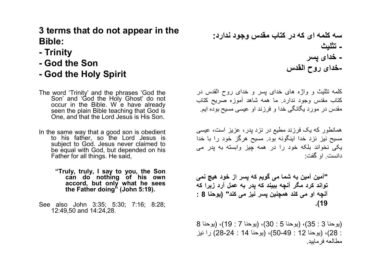## 3 terms that do not appear in the Bible:

- Trinity
- God the Son
- God the Holy Spirit
- The word 'Trinity' and the phrases 'God the Son' and 'God the Holy Ghost' do not occur in the Bible. W e have already seen the plain Bible teaching that God is One, and that the Lord Jesus is His Son.
- In the same way that a good son is obedient to his father, so the Lord Jesus is subject to God. Jesus never claimed to be equal with God, but depended on his Father for all things. He said,
	- "Truly, truly, I say to you, the Son can do nothing of his own accord, but only what he sees the Father doing" (John 5:19).
- See also John 3:35; 5:30; 7:16; 8:28; 12:49,50 and 14:24,28.

سه کلمه ای که در کتاب مقدس وجود ندارد: - تثليث - خدای پسر -خدای روح القدس

کلمه تثليث و واژه های خدای پسر و خدای روح القدس در کتاب مقدس وجود ندارد. ما همه شاهد آموزه صريح کتاب مقدس در مورد يگانگی خدا و فرزند او عيسی مسيح بوده ايم.

همانطور که يک فرزند مطيع در نزد پدر، عزيز است، عيسی مسيح نيز نزد خدا اينگونه بود. مسيح هرگز خود را با خدا يکی نخواند بلکه خود را در همه چيز وابسته به پدر می دانست. او گفت:

"آمين آمين به شما می گويم که پسر از خود هيچ نمی تواند کرد مگر آنچه ببيند که پدر به عمل آرد زيرا که آنچه او می کند همچنين پسر نيز می کند" ( يوحنا 8 : .(19

(يوحنا 3 : 35) ، ( يوحنا 5 : 30) ، (يوحنا 7 : 19)، (يوحنا 8 : 28) ، (يوحنا 12 : 50-49)، (يوحنا 14 : 28-24) را نيز مطالعه فرماييد.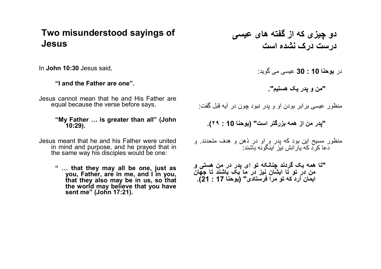### Two misunderstood sayings of Jesus

In John 10:30 Jesus said,

"I and the Father are one".

Jesus cannot mean that he and His Father are equal because the verse before says,

#### "My Father … is greater than all" (John 10:29).

Jesus meant that he and his Father were united in mind and purpose, and he prayed that in the same way his disciples would be one:

> " … that they may all be one, just as you, Father, are in me, and I in you, that they also may be in us, so that the world may believe that you have sent me" (John 17:21).

دو چيزی که از گفته های عيسی درست درک نشده است

در يوحنا 10 : 30 عيسی می گويد:

"من و پدر يک هستيم".

منظور عيسی برابر بودن او و پدر نبود چون در آيه قبل گفت:

"پدر من از همه بزرگتر است" ( يوحنا 10 : ٢٩).

منظور مسيح اين بود که پدر و او در ذهن و هدف متحدند. و دعا کرد که يارانش نيز اينگونه باشند:

"تا همه يک گردند چنانکه تو ای پدر در من هستی و من در تو تا ايشان نيز در ما يک باشند تا جهان ايمان آرد که تو مرا فرستادی" ( يوحنا 17 : 21).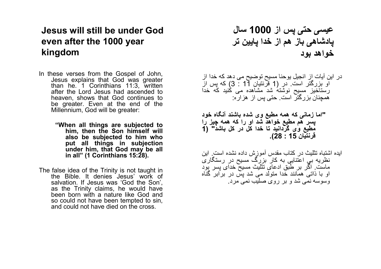## Jesus will still be under God even after the 1000 year kingdom

- In these verses from the Gospel of John, Jesus explains that God was greater than he. 1 Corinthians 11:3, written after the Lord Jesus had ascended to heaven, shows that God continues to be greater. Even at the end of the Millennium, God will be greater:
	- "When all things are subjected to him, then the Son himself will also be subjected to him who put all things in subjection under him, that God may be all in all" (1 Corinthians 15:28).
- The false idea of the Trinity is not taught in the Bible. It denies Jesus' work of salvation. If Jesus was 'God the Son', as the Trinity claims, he would have been born with a nature like God and so could not have been tempted to sin, and could not have died on the cross.

عيسی حتی پس از 1000 سال پادشاهی باز هم از خدا پايين تر خواهد بود

- در اين آيات از انجيل يوحنا مسيح توضيح می دهد که خدا از او بزرگتر است. در ( 1 قرنتيان 11 : 3) که پس از رستاخيز مسيح نوشته شد مشاهده می کنيد که خدا همچنان بزرگتر است. حتی پس از هزاره:
- "اما زمانی که همه مطيع وی شده باشند آنگاه خود پسر هم مطيع خواهد شد او را که همه چيز را مطيع وی گردانيد تا خدا كل در کل باشد" (1 قرنتيان 15 : 28).
- ايده اشتباه تثليث در کتاب مقدس آموزش داده نشده است. اين نظريه بی اعتنايی به کار بزرگ مسيح در رستگاری ماست. اگر بر طبق ادعای تثليث مسيح خدای پسر بود او با ذاتی همانند خدا متولد می شد پس در برابر گناه وسوسه نمی شد و بر روی صليب نمی مرد.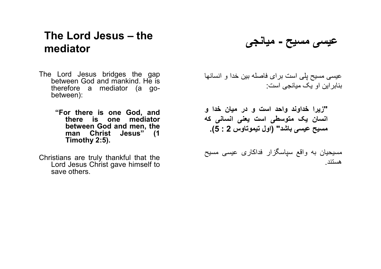## The Lord Jesus – the mediator

- The Lord Jesus bridges the gap between God and mankind. He is therefore a mediator (a gobetween):
	- "For there is one God, and there is one mediator between God and men, the man Christ Jesus" (1 Timothy 2:5).
- Christians are truly thankful that the Lord Jesus Christ gave himself to save others.

عيسی مسيح - ميانجی

عيسی مسيح پلی است برای فاصله بين خدا و انسانها بنابراين او يک ميانجی است:

"زيرا خداوند واحد است و در ميان خدا و انسان يک متوسطی است يعنی انسانی که مسيح عيسی باشد" (اول تيموتاوس 2 : 5).

مسيحيان به واقع سپاسگزار فداکاری عيسی مسيح هستند.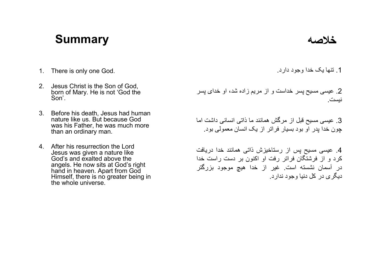# خلاصه Summary



- 1. There is only one God.
- 2. Jesus Christ is the Son of God, born of Mary. He is not 'God the Son'.
- 3. Before his death, Jesus had human nature like us. But because God was his Father, he was much more than an ordinary man.
- 4. After his resurrection the Lord Jesus was given a nature like God's and exalted above the angels. He now sits at God's right hand in heaven. Apart from God Himself, there is no greater being in the whole universe.

.1 تنها يک خدا وجود دارد.

.2 عيسی مسيح پسر خداست و از مريم زاده شد، او خدای پسر نيست.

.3 عيسی مسيح قبل از مرگش همانند ما ذاتی انسانی داشت اما چون خدا پدر او بود بسيار فراتر از يک انسان معمولی بود.

.4 عيسی مسيح پس از رستاخيزش ذاتی همانند خدا دريافت کرد و از فرشتگان فراتر رفت او اکنون بر دست راست خدا در آسمان نشسته است. غير از خدا هيچ موجود بزرگتر ديگری در کل دنيا وجود ندارد.